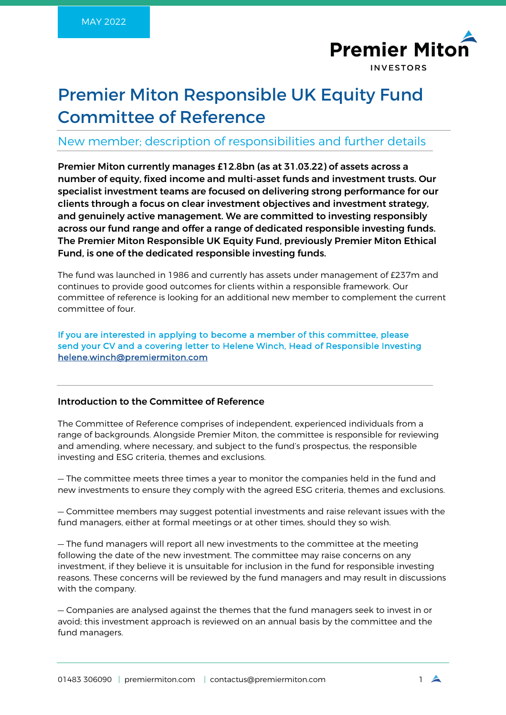

# Premier Miton Responsible UK Equity Fund Committee of Reference

# New member; description of responsibilities and further details

Premier Miton currently manages £12.8bn (as at 31.03.22) of assets across a number of equity, fixed income and multi-asset funds and investment trusts. Our specialist investment teams are focused on delivering strong performance for our clients through a focus on clear investment objectives and investment strategy, and genuinely active management. We are committed to investing responsibly across our fund range and offer a range of dedicated responsible investing funds. The Premier Miton Responsible UK Equity Fund, previously Premier Miton Ethical Fund, is one of the dedicated responsible investing funds.

The fund was launched in 1986 and currently has assets under management of £237m and continues to provide good outcomes for clients within a responsible framework. Our committee of reference is looking for an additional new member to complement the current committee of four.

If you are interested in applying to become a member of this committee, please send your CV and a covering letter to Helene Winch, Head of Responsible Investing [helene.winch@premiermiton.com](mailto:helene.winch@premiermiton.com) 

## Introduction to the Committee of Reference

The Committee of Reference comprises of independent, experienced individuals from a range of backgrounds. Alongside Premier Miton, the committee is responsible for reviewing and amending, where necessary, and subject to the fund's prospectus, the responsible investing and ESG criteria, themes and exclusions.

— The committee meets three times a year to monitor the companies held in the fund and new investments to ensure they comply with the agreed ESG criteria, themes and exclusions.

— Committee members may suggest potential investments and raise relevant issues with the fund managers, either at formal meetings or at other times, should they so wish.

— The fund managers will report all new investments to the committee at the meeting following the date of the new investment. The committee may raise concerns on any investment, if they believe it is unsuitable for inclusion in the fund for responsible investing reasons. These concerns will be reviewed by the fund managers and may result in discussions with the company.

— Companies are analysed against the themes that the fund managers seek to invest in or avoid; this investment approach is reviewed on an annual basis by the committee and the fund managers.